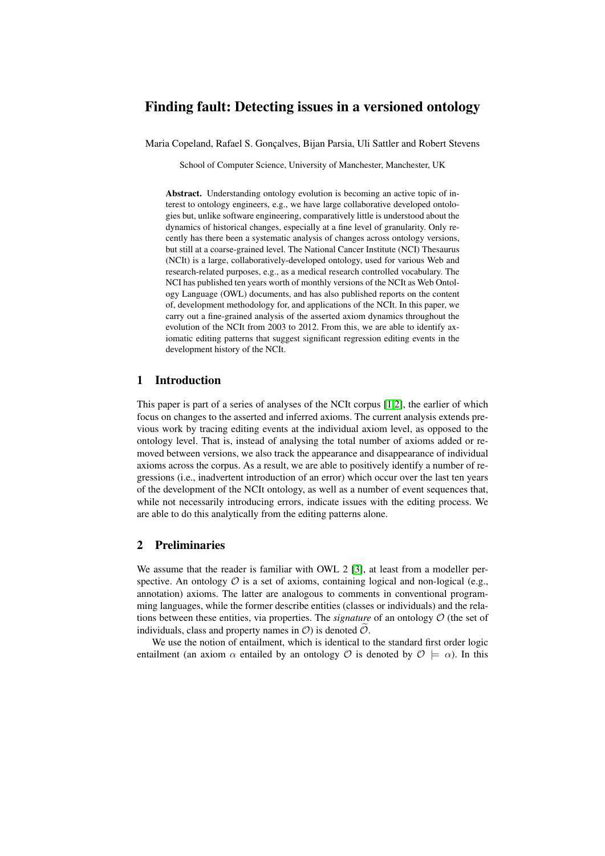# Finding fault: Detecting issues in a versioned ontology

Maria Copeland, Rafael S. Gonçalves, Bijan Parsia, Uli Sattler and Robert Stevens

School of Computer Science, University of Manchester, Manchester, UK

Abstract. Understanding ontology evolution is becoming an active topic of interest to ontology engineers, e.g., we have large collaborative developed ontologies but, unlike software engineering, comparatively little is understood about the dynamics of historical changes, especially at a fine level of granularity. Only recently has there been a systematic analysis of changes across ontology versions, but still at a coarse-grained level. The National Cancer Institute (NCI) Thesaurus (NCIt) is a large, collaboratively-developed ontology, used for various Web and research-related purposes, e.g., as a medical research controlled vocabulary. The NCI has published ten years worth of monthly versions of the NCIt as Web Ontology Language (OWL) documents, and has also published reports on the content of, development methodology for, and applications of the NCIt. In this paper, we carry out a fine-grained analysis of the asserted axiom dynamics throughout the evolution of the NCIt from 2003 to 2012. From this, we are able to identify axiomatic editing patterns that suggest significant regression editing events in the development history of the NCIt.

## 1 Introduction

This paper is part of a series of analyses of the NCIt corpus [\[1](#page-11-0)[,2\]](#page-11-1), the earlier of which focus on changes to the asserted and inferred axioms. The current analysis extends previous work by tracing editing events at the individual axiom level, as opposed to the ontology level. That is, instead of analysing the total number of axioms added or removed between versions, we also track the appearance and disappearance of individual axioms across the corpus. As a result, we are able to positively identify a number of regressions (i.e., inadvertent introduction of an error) which occur over the last ten years of the development of the NCIt ontology, as well as a number of event sequences that, while not necessarily introducing errors, indicate issues with the editing process. We are able to do this analytically from the editing patterns alone.

### 2 Preliminaries

We assume that the reader is familiar with OWL 2 [\[3\]](#page-11-2), at least from a modeller perspective. An ontology  $\mathcal O$  is a set of axioms, containing logical and non-logical (e.g., annotation) axioms. The latter are analogous to comments in conventional programming languages, while the former describe entities (classes or individuals) and the relations between these entities, via properties. The *signature* of an ontology  $\mathcal{O}$  (the set of individuals, class and property names in  $\mathcal{O}$ ) is denoted  $\mathcal{O}$ .

We use the notion of entailment, which is identical to the standard first order logic entailment (an axiom  $\alpha$  entailed by an ontology  $\mathcal O$  is denoted by  $\mathcal O \models \alpha$ ). In this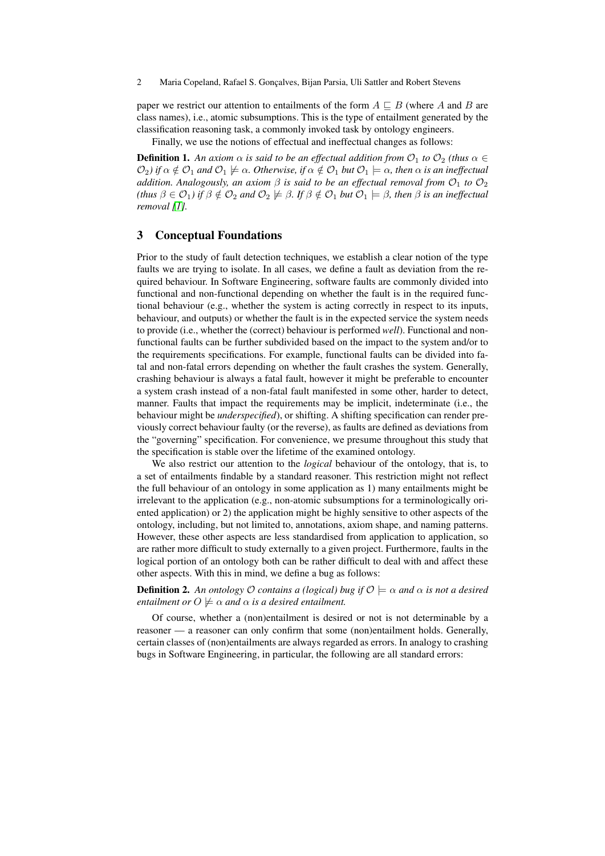paper we restrict our attention to entailments of the form  $A \sqsubseteq B$  (where A and B are class names), i.e., atomic subsumptions. This is the type of entailment generated by the classification reasoning task, a commonly invoked task by ontology engineers.

Finally, we use the notions of effectual and ineffectual changes as follows:

**Definition 1.** An axiom  $\alpha$  is said to be an effectual addition from  $\mathcal{O}_1$  to  $\mathcal{O}_2$  (thus  $\alpha \in$  $\mathcal{O}_2$ ) if  $\alpha \notin \mathcal{O}_1$  and  $\mathcal{O}_1 \not\models \alpha$ . Otherwise, if  $\alpha \notin \mathcal{O}_1$  but  $\mathcal{O}_1 \models \alpha$ , then  $\alpha$  is an ineffectual *addition. Analogously, an axiom*  $\beta$  *is said to be an effectual removal from*  $\mathcal{O}_1$  *to*  $\mathcal{O}_2$  $(hus \beta \in \mathcal{O}_1)$  *if*  $\beta \notin \mathcal{O}_2$  *and*  $\mathcal{O}_2 \not\models \beta$ *. If*  $\beta \notin \mathcal{O}_1$  *but*  $\mathcal{O}_1 \models \beta$ *, then*  $\beta$  *is an ineffectual removal [\[1\]](#page-11-0).*

### <span id="page-1-0"></span>3 Conceptual Foundations

Prior to the study of fault detection techniques, we establish a clear notion of the type faults we are trying to isolate. In all cases, we define a fault as deviation from the required behaviour. In Software Engineering, software faults are commonly divided into functional and non-functional depending on whether the fault is in the required functional behaviour (e.g., whether the system is acting correctly in respect to its inputs, behaviour, and outputs) or whether the fault is in the expected service the system needs to provide (i.e., whether the (correct) behaviour is performed *well*). Functional and nonfunctional faults can be further subdivided based on the impact to the system and/or to the requirements specifications. For example, functional faults can be divided into fatal and non-fatal errors depending on whether the fault crashes the system. Generally, crashing behaviour is always a fatal fault, however it might be preferable to encounter a system crash instead of a non-fatal fault manifested in some other, harder to detect, manner. Faults that impact the requirements may be implicit, indeterminate (i.e., the behaviour might be *underspecified*), or shifting. A shifting specification can render previously correct behaviour faulty (or the reverse), as faults are defined as deviations from the "governing" specification. For convenience, we presume throughout this study that the specification is stable over the lifetime of the examined ontology.

We also restrict our attention to the *logical* behaviour of the ontology, that is, to a set of entailments findable by a standard reasoner. This restriction might not reflect the full behaviour of an ontology in some application as 1) many entailments might be irrelevant to the application (e.g., non-atomic subsumptions for a terminologically oriented application) or 2) the application might be highly sensitive to other aspects of the ontology, including, but not limited to, annotations, axiom shape, and naming patterns. However, these other aspects are less standardised from application to application, so are rather more difficult to study externally to a given project. Furthermore, faults in the logical portion of an ontology both can be rather difficult to deal with and affect these other aspects. With this in mind, we define a bug as follows:

<span id="page-1-1"></span>**Definition 2.** An ontology  $\mathcal O$  contains a (logical) bug if  $\mathcal O \models \alpha$  and  $\alpha$  is not a desired *entailment or*  $O \not\models \alpha$  *and*  $\alpha$  *is a desired entailment.* 

Of course, whether a (non)entailment is desired or not is not determinable by a reasoner — a reasoner can only confirm that some (non)entailment holds. Generally, certain classes of (non)entailments are always regarded as errors. In analogy to crashing bugs in Software Engineering, in particular, the following are all standard errors: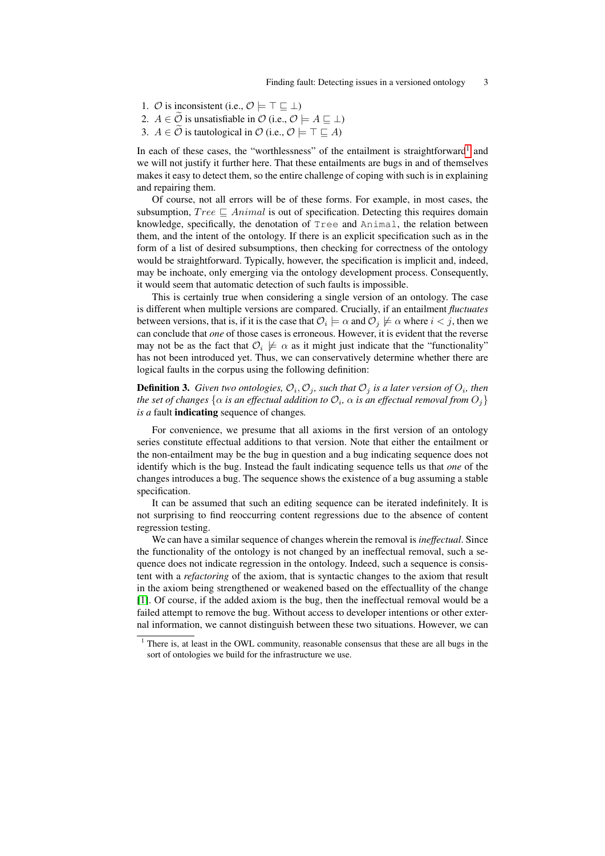- 1.  $\mathcal{O}$  is inconsistent (i.e.,  $\mathcal{O} \models \top \sqsubseteq \bot$ )
- 2.  $A \in \widetilde{\mathcal{O}}$  is unsatisfiable in  $\mathcal{O}$  (i.e.,  $\mathcal{O} \models A \sqsubset \bot$ )
- 3.  $A \in \tilde{\mathcal{O}}$  is tautological in  $\mathcal{O}$  (i.e.,  $\mathcal{O} \models \top \sqsubset A$ )

In each of these cases, the "worthlessness" of the entailment is straightforward<sup>[1](#page-2-0)</sup> and we will not justify it further here. That these entailments are bugs in and of themselves makes it easy to detect them, so the entire challenge of coping with such is in explaining and repairing them.

Of course, not all errors will be of these forms. For example, in most cases, the subsumption,  $Tree \sqsubseteq Animal$  is out of specification. Detecting this requires domain knowledge, specifically, the denotation of Tree and Animal, the relation between them, and the intent of the ontology. If there is an explicit specification such as in the form of a list of desired subsumptions, then checking for correctness of the ontology would be straightforward. Typically, however, the specification is implicit and, indeed, may be inchoate, only emerging via the ontology development process. Consequently, it would seem that automatic detection of such faults is impossible.

This is certainly true when considering a single version of an ontology. The case is different when multiple versions are compared. Crucially, if an entailment *fluctuates* between versions, that is, if it is the case that  $\mathcal{O}_i \models \alpha$  and  $\mathcal{O}_j \not\models \alpha$  where  $i < j$ , then we can conclude that *one* of those cases is erroneous. However, it is evident that the reverse may not be as the fact that  $\mathcal{O}_i \not\models \alpha$  as it might just indicate that the "functionality" has not been introduced yet. Thus, we can conservatively determine whether there are logical faults in the corpus using the following definition:

<span id="page-2-1"></span>**Definition 3.** Given two ontologies,  $\mathcal{O}_i$ ,  $\mathcal{O}_j$ , such that  $\mathcal{O}_j$  is a later version of  $O_i$ , then the set of changes  $\{\alpha$  is an effectual addition to  $\mathcal{O}_i$ ,  $\alpha$  is an effectual removal from  $O_j\}$ *is a* fault indicating sequence of changes*.*

For convenience, we presume that all axioms in the first version of an ontology series constitute effectual additions to that version. Note that either the entailment or the non-entailment may be the bug in question and a bug indicating sequence does not identify which is the bug. Instead the fault indicating sequence tells us that *one* of the changes introduces a bug. The sequence shows the existence of a bug assuming a stable specification.

It can be assumed that such an editing sequence can be iterated indefinitely. It is not surprising to find reoccurring content regressions due to the absence of content regression testing.

We can have a similar sequence of changes wherein the removal is *ineffectual*. Since the functionality of the ontology is not changed by an ineffectual removal, such a sequence does not indicate regression in the ontology. Indeed, such a sequence is consistent with a *refactoring* of the axiom, that is syntactic changes to the axiom that result in the axiom being strengthened or weakened based on the effectuallity of the change [\[1\]](#page-11-0). Of course, if the added axiom is the bug, then the ineffectual removal would be a failed attempt to remove the bug. Without access to developer intentions or other external information, we cannot distinguish between these two situations. However, we can

<span id="page-2-0"></span><sup>&</sup>lt;sup>1</sup> There is, at least in the OWL community, reasonable consensus that these are all bugs in the sort of ontologies we build for the infrastructure we use.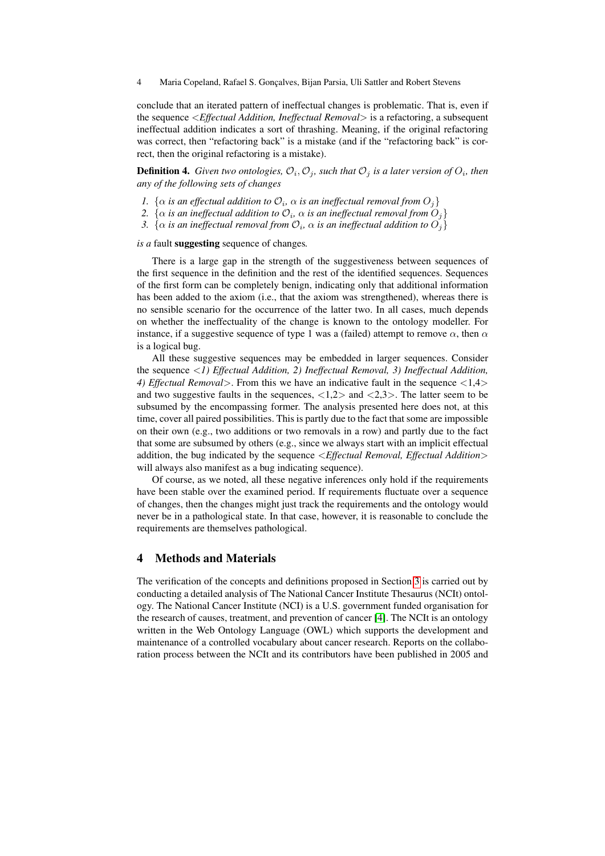conclude that an iterated pattern of ineffectual changes is problematic. That is, even if the sequence <*Effectual Addition, Ineffectual Removal*> is a refactoring, a subsequent ineffectual addition indicates a sort of thrashing. Meaning, if the original refactoring was correct, then "refactoring back" is a mistake (and if the "refactoring back" is correct, then the original refactoring is a mistake).

**Definition 4.** Given two ontologies,  $\mathcal{O}_i$ ,  $\mathcal{O}_j$ , such that  $\mathcal{O}_j$  is a later version of  $O_i$ , then *any of the following sets of changes*

- 1.  $\{\alpha$  is an effectual addition to  $\mathcal{O}_i$ ,  $\alpha$  is an ineffectual removal from  $O_j\}$
- 2.  $\{\alpha$  *is an ineffectual addition to*  $\mathcal{O}_i$ *,*  $\alpha$  *is an ineffectual removal from*  $O_j\}$
- 3.  $\{\alpha$  *is an ineffectual removal from*  $\mathcal{O}_i$ ,  $\alpha$  *is an ineffectual addition to*  $O_j$ }

*is a* fault suggesting sequence of changes*.*

There is a large gap in the strength of the suggestiveness between sequences of the first sequence in the definition and the rest of the identified sequences. Sequences of the first form can be completely benign, indicating only that additional information has been added to the axiom (i.e., that the axiom was strengthened), whereas there is no sensible scenario for the occurrence of the latter two. In all cases, much depends on whether the ineffectuality of the change is known to the ontology modeller. For instance, if a suggestive sequence of type 1 was a (failed) attempt to remove  $\alpha$ , then  $\alpha$ is a logical bug.

All these suggestive sequences may be embedded in larger sequences. Consider the sequence <*1) Effectual Addition, 2) Ineffectual Removal, 3) Ineffectual Addition, 4) Effectual Removal*>. From this we have an indicative fault in the sequence <1,4> and two suggestive faults in the sequences,  $\langle 1,2 \rangle$  and  $\langle 2,3 \rangle$ . The latter seem to be subsumed by the encompassing former. The analysis presented here does not, at this time, cover all paired possibilities. This is partly due to the fact that some are impossible on their own (e.g., two additions or two removals in a row) and partly due to the fact that some are subsumed by others (e.g., since we always start with an implicit effectual addition, the bug indicated by the sequence <*Effectual Removal, Effectual Addition*> will always also manifest as a bug indicating sequence).

Of course, as we noted, all these negative inferences only hold if the requirements have been stable over the examined period. If requirements fluctuate over a sequence of changes, then the changes might just track the requirements and the ontology would never be in a pathological state. In that case, however, it is reasonable to conclude the requirements are themselves pathological.

#### 4 Methods and Materials

The verification of the concepts and definitions proposed in Section [3](#page-1-0) is carried out by conducting a detailed analysis of The National Cancer Institute Thesaurus (NCIt) ontology. The National Cancer Institute (NCI) is a U.S. government funded organisation for the research of causes, treatment, and prevention of cancer [\[4\]](#page-11-3). The NCIt is an ontology written in the Web Ontology Language (OWL) which supports the development and maintenance of a controlled vocabulary about cancer research. Reports on the collaboration process between the NCIt and its contributors have been published in 2005 and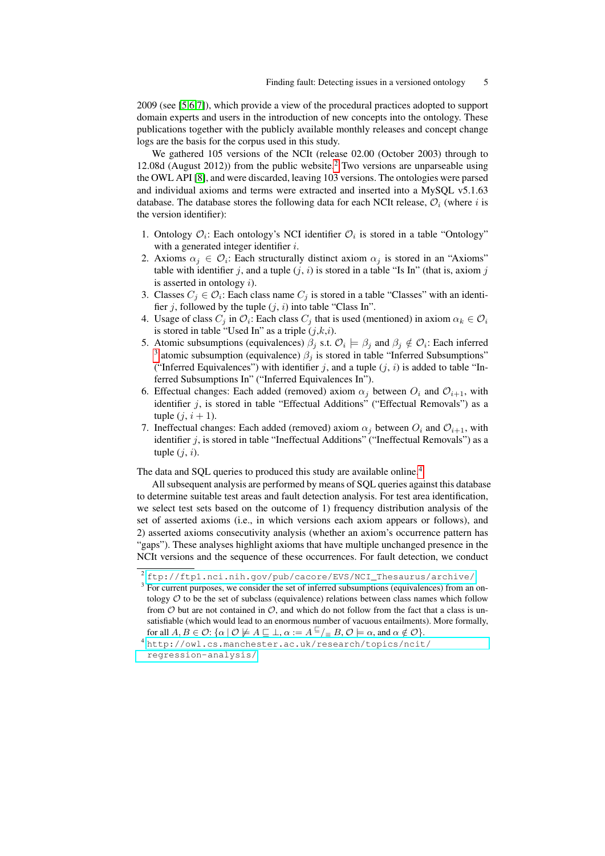2009 (see [\[5](#page-11-4)[,6](#page-11-5)[,7\]](#page-11-6)), which provide a view of the procedural practices adopted to support domain experts and users in the introduction of new concepts into the ontology. These publications together with the publicly available monthly releases and concept change logs are the basis for the corpus used in this study.

We gathered 105 versions of the NCIt (release 02.00 (October 2003) through to 1[2](#page-4-0).08d (August 2012)) from the public website. $2$  Two versions are unparseable using the OWL API [\[8\]](#page-11-7), and were discarded, leaving 103 versions. The ontologies were parsed and individual axioms and terms were extracted and inserted into a MySQL v5.1.63 database. The database stores the following data for each NCIt release,  $\mathcal{O}_i$  (where i is the version identifier):

- 1. Ontology  $\mathcal{O}_i$ : Each ontology's NCI identifier  $\mathcal{O}_i$  is stored in a table "Ontology" with a generated integer identifier  $i$ .
- 2. Axioms  $\alpha_j \in \mathcal{O}_i$ : Each structurally distinct axiom  $\alpha_j$  is stored in an "Axioms" table with identifier j, and a tuple  $(j, i)$  is stored in a table "Is In" (that is, axiom j is asserted in ontology  $i$ ).
- 3. Classes  $C_j \in \mathcal{O}_i$ : Each class name  $C_j$  is stored in a table "Classes" with an identifier j, followed by the tuple  $(j, i)$  into table "Class In".
- 4. Usage of class  $C_j$  in  $\mathcal{O}_i$ : Each class  $C_j$  that is used (mentioned) in axiom  $\alpha_k \in \mathcal{O}_i$ is stored in table "Used In" as a triple  $(j,k,i)$ .
- 5. Atomic subsumptions (equivalences)  $\beta_j$  s.t.  $\mathcal{O}_i \models \beta_j$  and  $\beta_j \notin \mathcal{O}_i$ : Each inferred <sup>[3](#page-4-1)</sup> atomic subsumption (equivalence)  $\beta_j$  is stored in table "Inferred Subsumptions" ("Inferred Equivalences") with identifier j, and a tuple  $(j, i)$  is added to table "Inferred Subsumptions In" ("Inferred Equivalences In").
- 6. Effectual changes: Each added (removed) axiom  $\alpha_i$  between  $O_i$  and  $O_{i+1}$ , with identifier  $j$ , is stored in table "Effectual Additions" ("Effectual Removals") as a tuple  $(j, i + 1)$ .
- 7. Ineffectual changes: Each added (removed) axiom  $\alpha_j$  between  $O_i$  and  $O_{i+1}$ , with identifier  $j$ , is stored in table "Ineffectual Additions" ("Ineffectual Removals") as a tuple  $(j, i)$ .

The data and SQL queries to produced this study are available online.<sup>[4](#page-4-2)</sup>

All subsequent analysis are performed by means of SQL queries against this database to determine suitable test areas and fault detection analysis. For test area identification, we select test sets based on the outcome of 1) frequency distribution analysis of the set of asserted axioms (i.e., in which versions each axiom appears or follows), and 2) asserted axioms consecutivity analysis (whether an axiom's occurrence pattern has "gaps"). These analyses highlight axioms that have multiple unchanged presence in the NCIt versions and the sequence of these occurrences. For fault detection, we conduct

<span id="page-4-0"></span><sup>2</sup> [ftp://ftp1.nci.nih.gov/pub/cacore/EVS/NCI\\_Thesaurus/archive/](ftp://ftp1.nci.nih.gov/pub/cacore/EVS/NCI_Thesaurus/archive/).

<span id="page-4-1"></span> $3$  For current purposes, we consider the set of inferred subsumptions (equivalences) from an ontology  $\mathcal O$  to be the set of subclass (equivalence) relations between class names which follow from  $\mathcal O$  but are not contained in  $\mathcal O$ , and which do not follow from the fact that a class is unsatisfiable (which would lead to an enormous number of vacuous entailments). More formally, for all  $A, B \in \mathcal{O}: \{ \alpha \mid \mathcal{O} \not\models A \sqsubseteq \bot, \alpha := A^{\sqsubseteq}/_{\equiv} B, \mathcal{O} \models \alpha, \text{and } \alpha \notin \mathcal{O} \}.$ 

<span id="page-4-2"></span><sup>4</sup> [http://owl.cs.manchester.ac.uk/research/topics/ncit/](http://owl.cs.manchester.ac.uk/research/topics/ncit/regression-analysis/) [regression-analysis/](http://owl.cs.manchester.ac.uk/research/topics/ncit/regression-analysis/)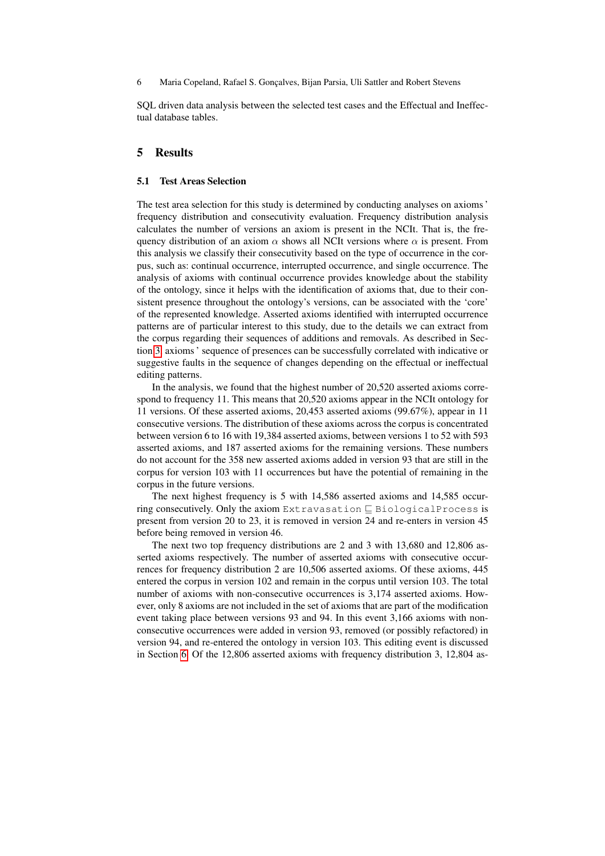SQL driven data analysis between the selected test cases and the Effectual and Ineffectual database tables.

## 5 Results

### <span id="page-5-0"></span>5.1 Test Areas Selection

The test area selection for this study is determined by conducting analyses on axioms ' frequency distribution and consecutivity evaluation. Frequency distribution analysis calculates the number of versions an axiom is present in the NCIt. That is, the frequency distribution of an axiom  $\alpha$  shows all NCIt versions where  $\alpha$  is present. From this analysis we classify their consecutivity based on the type of occurrence in the corpus, such as: continual occurrence, interrupted occurrence, and single occurrence. The analysis of axioms with continual occurrence provides knowledge about the stability of the ontology, since it helps with the identification of axioms that, due to their consistent presence throughout the ontology's versions, can be associated with the 'core' of the represented knowledge. Asserted axioms identified with interrupted occurrence patterns are of particular interest to this study, due to the details we can extract from the corpus regarding their sequences of additions and removals. As described in Section [3,](#page-1-0) axioms ' sequence of presences can be successfully correlated with indicative or suggestive faults in the sequence of changes depending on the effectual or ineffectual editing patterns.

In the analysis, we found that the highest number of 20,520 asserted axioms correspond to frequency 11. This means that 20,520 axioms appear in the NCIt ontology for 11 versions. Of these asserted axioms, 20,453 asserted axioms (99.67%), appear in 11 consecutive versions. The distribution of these axioms across the corpus is concentrated between version 6 to 16 with 19,384 asserted axioms, between versions 1 to 52 with 593 asserted axioms, and 187 asserted axioms for the remaining versions. These numbers do not account for the 358 new asserted axioms added in version 93 that are still in the corpus for version 103 with 11 occurrences but have the potential of remaining in the corpus in the future versions.

The next highest frequency is 5 with 14,586 asserted axioms and 14,585 occurring consecutively. Only the axiom Extravasation  $\sqsubseteq$  BiologicalProcess is present from version 20 to 23, it is removed in version 24 and re-enters in version 45 before being removed in version 46.

The next two top frequency distributions are 2 and 3 with 13,680 and 12,806 asserted axioms respectively. The number of asserted axioms with consecutive occurrences for frequency distribution 2 are 10,506 asserted axioms. Of these axioms, 445 entered the corpus in version 102 and remain in the corpus until version 103. The total number of axioms with non-consecutive occurrences is 3,174 asserted axioms. However, only 8 axioms are not included in the set of axioms that are part of the modification event taking place between versions 93 and 94. In this event 3,166 axioms with nonconsecutive occurrences were added in version 93, removed (or possibly refactored) in version 94, and re-entered the ontology in version 103. This editing event is discussed in Section [6.](#page-8-0) Of the 12,806 asserted axioms with frequency distribution 3, 12,804 as-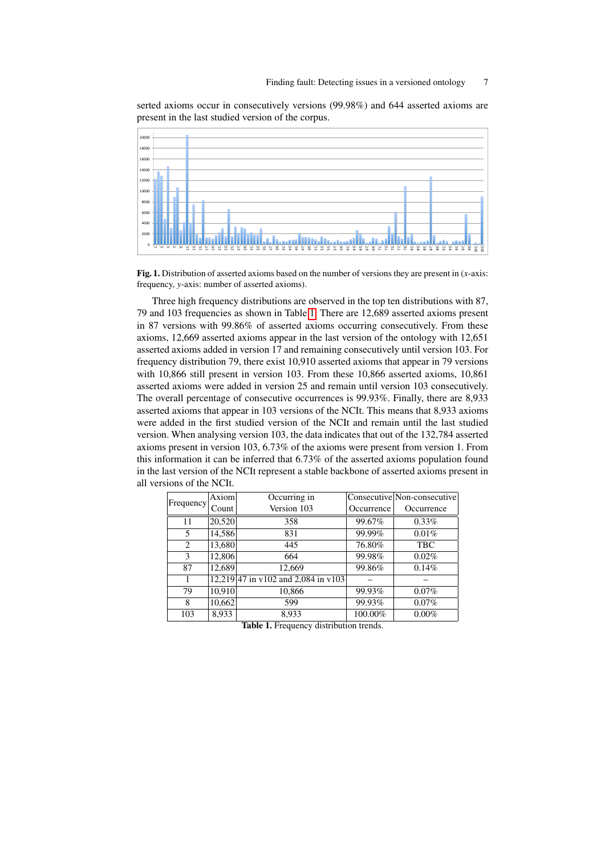serted axioms occur in consecutively versions (99.98%) and 644 asserted axioms are present in the last studied version of the corpus.



Fig. 1. Distribution of asserted axioms based on the number of versions they are present in  $(x-axis)$ : frequency, *y*-axis: number of asserted axioms).

Three high frequency distributions are observed in the top ten distributions with 87, 79 and 103 frequencies as shown in Table [1.](#page-6-0) There are 12,689 asserted axioms present in 87 versions with 99.86% of asserted axioms occurring consecutively. From these axioms, 12,669 asserted axioms appear in the last version of the ontology with 12,651 asserted axioms added in version 17 and remaining consecutively until version 103. For frequency distribution 79, there exist 10,910 asserted axioms that appear in 79 versions with 10,866 still present in version 103. From these 10,866 asserted axioms, 10,861 asserted axioms were added in version 25 and remain until version 103 consecutively. The overall percentage of consecutive occurrences is 99.93%. Finally, there are 8,933 asserted axioms that appear in 103 versions of the NCIt. This means that 8,933 axioms were added in the first studied version of the NCIt and remain until the last studied version. When analysing version 103, the data indicates that out of the 132,784 asserted axioms present in version 103, 6.73% of the axioms were present from version 1. From this information it can be inferred that 6.73% of the asserted axioms population found in the last version of the NCIt represent a stable backbone of asserted axioms present in all versions of the NCIt.

| Frequency | Axiom  | Occurring in                        |            | Consecutive Non-consecutive |
|-----------|--------|-------------------------------------|------------|-----------------------------|
|           | Count  | Version 103                         | Occurrence | Occurrence                  |
| 11        | 20,520 | 358                                 | 99.67%     | $0.33\%$                    |
| 5         | 14,586 | 831                                 | 99.99%     | 0.01%                       |
| 2         | 13,680 | 445                                 | 76.80%     | <b>TBC</b>                  |
| 3         | 12,806 | 664                                 | 99.98%     | $0.02\%$                    |
| 87        | 12,689 | 12,669                              | 99.86%     | 0.14%                       |
|           |        | 12,219 47 in v102 and 2,084 in v103 |            |                             |
| 79        | 10,910 | 10,866                              | 99.93%     | $0.07\%$                    |
| 8         | 10,662 | 599                                 | 99.93%     | $0.07\%$                    |
| 103       | 8,933  | 8,933                               | 100.00%    | $0.00\%$                    |

<span id="page-6-0"></span>Table 1. Frequency distribution trends.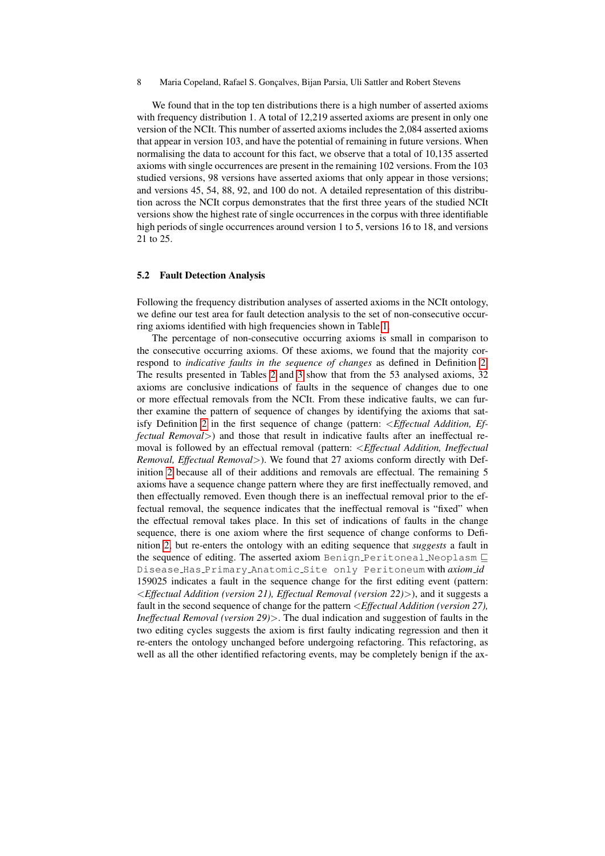We found that in the top ten distributions there is a high number of asserted axioms with frequency distribution 1. A total of 12,219 asserted axioms are present in only one version of the NCIt. This number of asserted axioms includes the 2,084 asserted axioms that appear in version 103, and have the potential of remaining in future versions. When normalising the data to account for this fact, we observe that a total of 10,135 asserted axioms with single occurrences are present in the remaining 102 versions. From the 103 studied versions, 98 versions have asserted axioms that only appear in those versions; and versions 45, 54, 88, 92, and 100 do not. A detailed representation of this distribution across the NCIt corpus demonstrates that the first three years of the studied NCIt versions show the highest rate of single occurrences in the corpus with three identifiable high periods of single occurrences around version 1 to 5, versions 16 to 18, and versions 21 to 25.

#### 5.2 Fault Detection Analysis

Following the frequency distribution analyses of asserted axioms in the NCIt ontology, we define our test area for fault detection analysis to the set of non-consecutive occurring axioms identified with high frequencies shown in Table [1.](#page-6-0)

The percentage of non-consecutive occurring axioms is small in comparison to the consecutive occurring axioms. Of these axioms, we found that the majority correspond to *indicative faults in the sequence of changes* as defined in Definition [2.](#page-1-1) The results presented in Tables [2](#page-9-0) and [3](#page-10-0) show that from the 53 analysed axioms, 32 axioms are conclusive indications of faults in the sequence of changes due to one or more effectual removals from the NCIt. From these indicative faults, we can further examine the pattern of sequence of changes by identifying the axioms that satisfy Definition [2](#page-1-1) in the first sequence of change (pattern: <*Effectual Addition, Effectual Removal*>) and those that result in indicative faults after an ineffectual removal is followed by an effectual removal (pattern: <*Effectual Addition, Ineffectual Removal, Effectual Removal*>). We found that 27 axioms conform directly with Definition [2](#page-1-1) because all of their additions and removals are effectual. The remaining 5 axioms have a sequence change pattern where they are first ineffectually removed, and then effectually removed. Even though there is an ineffectual removal prior to the effectual removal, the sequence indicates that the ineffectual removal is "fixed" when the effectual removal takes place. In this set of indications of faults in the change sequence, there is one axiom where the first sequence of change conforms to Definition [2,](#page-1-1) but re-enters the ontology with an editing sequence that *suggests* a fault in the sequence of editing. The asserted axiom Benign Peritoneal Neoplasm  $\sqsubseteq$ Disease Has Primary Anatomic Site only Peritoneum with *axiom id* 159025 indicates a fault in the sequence change for the first editing event (pattern: <*Effectual Addition (version 21), Effectual Removal (version 22)*>), and it suggests a fault in the second sequence of change for the pattern <*Effectual Addition (version 27), Ineffectual Removal (version 29)*>. The dual indication and suggestion of faults in the two editing cycles suggests the axiom is first faulty indicating regression and then it re-enters the ontology unchanged before undergoing refactoring. This refactoring, as well as all the other identified refactoring events, may be completely benign if the ax-

<sup>8</sup> Maria Copeland, Rafael S. Gonçalves, Bijan Parsia, Uli Sattler and Robert Stevens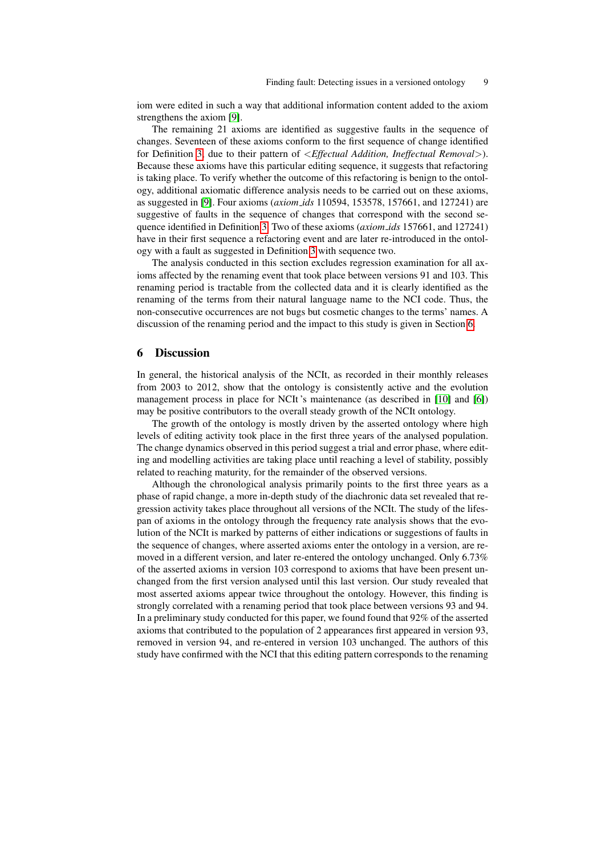iom were edited in such a way that additional information content added to the axiom strengthens the axiom [\[9\]](#page-11-8).

The remaining 21 axioms are identified as suggestive faults in the sequence of changes. Seventeen of these axioms conform to the first sequence of change identified for Definition [3,](#page-2-1) due to their pattern of <*Effectual Addition, Ineffectual Removal*>). Because these axioms have this particular editing sequence, it suggests that refactoring is taking place. To verify whether the outcome of this refactoring is benign to the ontology, additional axiomatic difference analysis needs to be carried out on these axioms, as suggested in [\[9\]](#page-11-8). Four axioms (*axiom ids* 110594, 153578, 157661, and 127241) are suggestive of faults in the sequence of changes that correspond with the second sequence identified in Definition [3.](#page-2-1) Two of these axioms (*axiom ids* 157661, and 127241) have in their first sequence a refactoring event and are later re-introduced in the ontology with a fault as suggested in Definition [3](#page-2-1) with sequence two.

The analysis conducted in this section excludes regression examination for all axioms affected by the renaming event that took place between versions 91 and 103. This renaming period is tractable from the collected data and it is clearly identified as the renaming of the terms from their natural language name to the NCI code. Thus, the non-consecutive occurrences are not bugs but cosmetic changes to the terms' names. A discussion of the renaming period and the impact to this study is given in Section [6.](#page-8-0)

#### <span id="page-8-0"></span>6 Discussion

In general, the historical analysis of the NCIt, as recorded in their monthly releases from 2003 to 2012, show that the ontology is consistently active and the evolution management process in place for NCIt 's maintenance (as described in [\[10\]](#page-11-9) and [\[6\]](#page-11-5)) may be positive contributors to the overall steady growth of the NCIt ontology.

The growth of the ontology is mostly driven by the asserted ontology where high levels of editing activity took place in the first three years of the analysed population. The change dynamics observed in this period suggest a trial and error phase, where editing and modelling activities are taking place until reaching a level of stability, possibly related to reaching maturity, for the remainder of the observed versions.

Although the chronological analysis primarily points to the first three years as a phase of rapid change, a more in-depth study of the diachronic data set revealed that regression activity takes place throughout all versions of the NCIt. The study of the lifespan of axioms in the ontology through the frequency rate analysis shows that the evolution of the NCIt is marked by patterns of either indications or suggestions of faults in the sequence of changes, where asserted axioms enter the ontology in a version, are removed in a different version, and later re-entered the ontology unchanged. Only 6.73% of the asserted axioms in version 103 correspond to axioms that have been present unchanged from the first version analysed until this last version. Our study revealed that most asserted axioms appear twice throughout the ontology. However, this finding is strongly correlated with a renaming period that took place between versions 93 and 94. In a preliminary study conducted for this paper, we found found that 92% of the asserted axioms that contributed to the population of 2 appearances first appeared in version 93, removed in version 94, and re-entered in version 103 unchanged. The authors of this study have confirmed with the NCI that this editing pattern corresponds to the renaming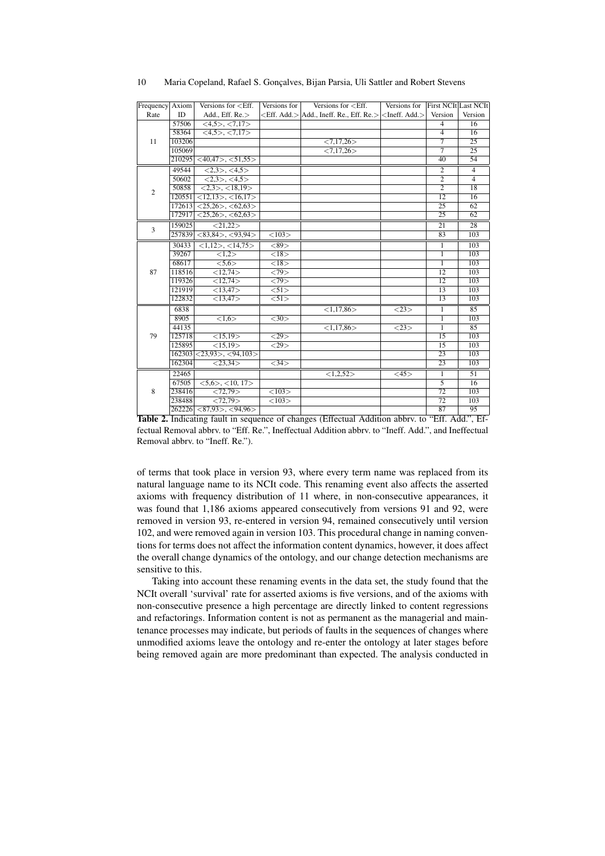| Frequency Axiom |        | Versions for $\leq$ Eff.                                             | Versions for      | Versions for $\leq$ Eff.                                                       | Versions for | <b>First NCIt Last NCIt</b> |                 |
|-----------------|--------|----------------------------------------------------------------------|-------------------|--------------------------------------------------------------------------------|--------------|-----------------------------|-----------------|
| Rate            | ID     | Add., Eff. $Re$ .                                                    |                   | <eff. add.=""> Add., Ineff. Re., Eff. Re.&gt; <ineff. add.=""></ineff.></eff.> |              | Version                     | Version         |
| 11              | 57506  | $<4.5>,-<7.17>$                                                      |                   |                                                                                |              | 4                           | 16              |
|                 | 58364  | <4,5>, <7,17>                                                        |                   |                                                                                |              | $\overline{4}$              | $\overline{16}$ |
|                 | 103206 |                                                                      |                   | $\overline{<7,17,26>}$                                                         |              | $\overline{\tau}$           | $\overline{25}$ |
|                 | 105069 |                                                                      |                   | < 7,17,26 >                                                                    |              | 7                           | $\overline{25}$ |
|                 | 210295 | $<$ 40,47>, $<$ 51,55>                                               |                   |                                                                                |              | 40                          | 54              |
|                 | 49544  | <2,3>, <4,5>                                                         |                   |                                                                                |              | $\overline{2}$              | $\overline{4}$  |
|                 | 50602  | $\overline{\langle 2.3 \rangle, \langle 4.5 \rangle}$                |                   |                                                                                |              | $\overline{2}$              | $\overline{4}$  |
| $\overline{c}$  | 50858  | $\langle 2.3 \rangle$ , $\langle 18.19 \rangle$                      |                   |                                                                                |              | $\overline{2}$              | 18              |
|                 | 120551 | $<12,13>$ , $<16,17>$                                                |                   |                                                                                |              | 12                          | 16              |
|                 | 172613 | $\overline{\langle 25,26 \rangle}, \overline{\langle 62,63 \rangle}$ |                   |                                                                                |              | 25                          | 62              |
|                 | 172917 | $<25,26>$ , $<62,63>$                                                |                   |                                                                                |              | $\overline{25}$             | $\overline{62}$ |
| 3               | 159025 | $\overline{21,22}$                                                   |                   |                                                                                |              | 21                          | 28              |
|                 | 257839 | <83,84>, <93,94>                                                     | <103>             |                                                                                |              | 83                          | 103             |
|                 | 30433  | $\langle 1, 12 \rangle, \langle 14, 75 \rangle$                      | <89>              |                                                                                |              | $\mathbf{1}$                | 103             |
|                 | 39267  | $\overline{<1,2>}$                                                   | $\overline{218}$  |                                                                                |              | $\overline{1}$              | 103             |
|                 | 68617  | 5.6>                                                                 | $\overline{<}18$  |                                                                                |              | $\overline{1}$              | 103             |
| 87              | 118516 | <12,74>                                                              | $\overline{279}$  |                                                                                |              | 12                          | 103             |
|                 | 119326 | <12,74>                                                              | <79>              |                                                                                |              | 12                          | 103             |
|                 | 121919 | $\overline{<}13,47>$                                                 | 51>               |                                                                                |              | $\overline{13}$             | 103             |
|                 | 122832 | <13,47>                                                              | 51>               |                                                                                |              | 13                          | 103             |
|                 | 6838   |                                                                      |                   | <1,17,86>                                                                      | <23>         | $\mathbf{1}$                | 85              |
|                 | 8905   | $\overline{<1.6>}$                                                   | $\overline{<}30$  |                                                                                |              | $\overline{1}$              | 103             |
|                 | 44135  |                                                                      |                   | <1,17,86>                                                                      | <23>         | 1                           | 85              |
| 79              | 125718 | $\overline{<}15,19>$                                                 | $\overline{29}$   |                                                                                |              | 15                          | 103             |
|                 | 125895 | <15.19>                                                              | $\overline{29}$   |                                                                                |              | $\overline{15}$             | 103             |
|                 | 162303 | $\langle 23,93 \rangle, \langle 94,103 \rangle$                      |                   |                                                                                |              | $\overline{23}$             | 103             |
|                 | 162304 | $\langle 23, 34 \rangle$                                             | $\overline{234}$  |                                                                                |              | $\overline{23}$             | 103             |
| 8               | 22465  |                                                                      |                   | <1,2,52>                                                                       | <15>         | 1                           | 51              |
|                 | 67505  | $\langle 5, 6 \rangle, \langle 10, 17 \rangle$                       |                   |                                                                                |              | $\overline{5}$              | 16              |
|                 | 238416 | <72,79>                                                              | $\overline{$ 103> |                                                                                |              | 72                          | 103             |
|                 | 238488 | <72,79>                                                              | <103>             |                                                                                |              | 72                          | 103             |
|                 |        | $262226$ <87,93>, <94,96>                                            |                   |                                                                                |              | 87                          | 95              |

10 Maria Copeland, Rafael S. Gonçalves, Bijan Parsia, Uli Sattler and Robert Stevens

<span id="page-9-0"></span>Table 2. Indicating fault in sequence of changes (Effectual Addition abbrv. to "Eff. Add.", Effectual Removal abbrv. to "Eff. Re.", Ineffectual Addition abbrv. to "Ineff. Add.", and Ineffectual Removal abbrv. to "Ineff. Re.").

of terms that took place in version 93, where every term name was replaced from its natural language name to its NCIt code. This renaming event also affects the asserted axioms with frequency distribution of 11 where, in non-consecutive appearances, it was found that 1,186 axioms appeared consecutively from versions 91 and 92, were removed in version 93, re-entered in version 94, remained consecutively until version 102, and were removed again in version 103. This procedural change in naming conventions for terms does not affect the information content dynamics, however, it does affect the overall change dynamics of the ontology, and our change detection mechanisms are sensitive to this.

Taking into account these renaming events in the data set, the study found that the NCIt overall 'survival' rate for asserted axioms is five versions, and of the axioms with non-consecutive presence a high percentage are directly linked to content regressions and refactorings. Information content is not as permanent as the managerial and maintenance processes may indicate, but periods of faults in the sequences of changes where unmodified axioms leave the ontology and re-enter the ontology at later stages before being removed again are more predominant than expected. The analysis conducted in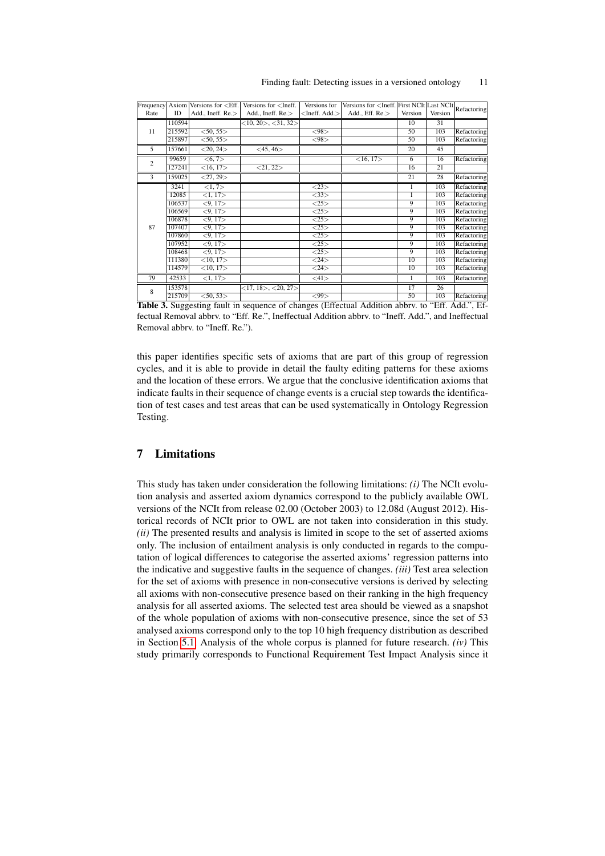| Finding fault: Detecting issues in a versioned ontology |  |  | 11. |
|---------------------------------------------------------|--|--|-----|
|                                                         |  |  |     |

| Frequency      |               | Axiom Versions for <eff.< td=""><td>Versions for <math>\leq</math> Ineff.</td><td>Versions for</td><td>Versions for <ineff. first="" last="" ncit="" ncit<="" td=""><td></td><td></td><td>Refactoring</td></ineff.></td></eff.<> | Versions for $\leq$ Ineff.      | Versions for                    | Versions for <ineff. first="" last="" ncit="" ncit<="" td=""><td></td><td></td><td>Refactoring</td></ineff.>                                                                                                                                                                                                       |                |         | Refactoring |
|----------------|---------------|----------------------------------------------------------------------------------------------------------------------------------------------------------------------------------------------------------------------------------|---------------------------------|---------------------------------|--------------------------------------------------------------------------------------------------------------------------------------------------------------------------------------------------------------------------------------------------------------------------------------------------------------------|----------------|---------|-------------|
| Rate           | ID            | Add., Ineff. $Re >$                                                                                                                                                                                                              | Add., Ineff. $Re$ .             | $\langle$ Ineff. Add. $\rangle$ | Add., $Eff. Re.$                                                                                                                                                                                                                                                                                                   | Version        | Version |             |
|                | 110594        |                                                                                                                                                                                                                                  | $<$ 10, 20 $>$ , $<$ 31, 32 $>$ |                                 |                                                                                                                                                                                                                                                                                                                    | 10             | 31      |             |
| 11             | 215592        | 550, 55                                                                                                                                                                                                                          |                                 | $\overline{<98>}$               |                                                                                                                                                                                                                                                                                                                    | 50             | 103     | Refactoring |
|                | 215897        | < 50, 55 >                                                                                                                                                                                                                       |                                 | $<$ 98 $>$                      |                                                                                                                                                                                                                                                                                                                    | 50             | 103     | Refactoring |
| 5              | 157661        | $<$ 20, 24 $>$                                                                                                                                                                                                                   | $<$ 45, 46 $>$                  |                                 |                                                                                                                                                                                                                                                                                                                    | 20             | 45      |             |
| $\overline{2}$ | 99659         | <6.7>                                                                                                                                                                                                                            |                                 |                                 | <16, 17>                                                                                                                                                                                                                                                                                                           | 6              | 16      | Refactoring |
|                | 127241        | <16, 17>                                                                                                                                                                                                                         | $<$ 21, 22 $>$                  |                                 |                                                                                                                                                                                                                                                                                                                    | 16             | 21      |             |
| 3              | 159025        | $<$ 27, 29 $>$                                                                                                                                                                                                                   |                                 |                                 |                                                                                                                                                                                                                                                                                                                    | 21             | 28      | Refactoring |
|                | 3241          | <1, 7>                                                                                                                                                                                                                           |                                 | <23>                            |                                                                                                                                                                                                                                                                                                                    |                | 103     | Refactoring |
|                | 12085         | <1,17>                                                                                                                                                                                                                           |                                 | <33>                            |                                                                                                                                                                                                                                                                                                                    |                | 103     | Refactoring |
|                | 106537        | $<$ 9, 17 $>$                                                                                                                                                                                                                    |                                 | 25                              |                                                                                                                                                                                                                                                                                                                    | $\overline{9}$ | 103     | Refactoring |
|                | 106569        | $\overline{<}9,17$                                                                                                                                                                                                               |                                 | <25>                            |                                                                                                                                                                                                                                                                                                                    | 9              | 103     | Refactoring |
| 87             | 106878        | < 9, 17                                                                                                                                                                                                                          |                                 | <25>                            |                                                                                                                                                                                                                                                                                                                    | 9              | 103     | Refactoring |
|                | 107407        | < 9, 17                                                                                                                                                                                                                          |                                 | <25>                            |                                                                                                                                                                                                                                                                                                                    | 9              | 103     | Refactoring |
|                | 107860        | 5, 17                                                                                                                                                                                                                            |                                 | 25                              |                                                                                                                                                                                                                                                                                                                    | $\overline{9}$ | 103     | Refactoring |
|                | 107952        | $<$ 9, 17 $>$                                                                                                                                                                                                                    |                                 | <25>                            |                                                                                                                                                                                                                                                                                                                    | 9              | 103     | Refactoring |
|                | 108468        | < 9.17                                                                                                                                                                                                                           |                                 | 25                              |                                                                                                                                                                                                                                                                                                                    | $\overline{9}$ | 103     | Refactoring |
|                | 111380        | <10, 17>                                                                                                                                                                                                                         |                                 | 24>                             |                                                                                                                                                                                                                                                                                                                    | 10             | 103     | Refactoring |
|                | 114579        | <10, 17>                                                                                                                                                                                                                         |                                 | 24>                             |                                                                                                                                                                                                                                                                                                                    | 10             | 103     | Refactoring |
| 79             | 42533         | $\overline{<1,17>}$                                                                                                                                                                                                              |                                 | $<$ 41 $>$                      |                                                                                                                                                                                                                                                                                                                    |                | 103     | Refactoring |
| 8              | 153578        |                                                                                                                                                                                                                                  | $<$ 17, 18>, $<$ 20, 27>        |                                 |                                                                                                                                                                                                                                                                                                                    | 17             | 26      |             |
|                | 215709        | 50,53                                                                                                                                                                                                                            |                                 | $\overline{<}99$                |                                                                                                                                                                                                                                                                                                                    | 50             | 103     | Refactoring |
| .              | $\sim$ $\sim$ | $\mathbf{r} = \mathbf{r} + \mathbf{r}$                                                                                                                                                                                           | $c_{\perp}$                     |                                 | $\sqrt{12}$ $\sqrt{2}$ $\sqrt{2}$ $\sqrt{2}$ $\sqrt{2}$ $\sqrt{2}$ $\sqrt{2}$ $\sqrt{2}$ $\sqrt{2}$ $\sqrt{2}$ $\sqrt{2}$ $\sqrt{2}$ $\sqrt{2}$ $\sqrt{2}$ $\sqrt{2}$ $\sqrt{2}$ $\sqrt{2}$ $\sqrt{2}$ $\sqrt{2}$ $\sqrt{2}$ $\sqrt{2}$ $\sqrt{2}$ $\sqrt{2}$ $\sqrt{2}$ $\sqrt{2}$ $\sqrt{2}$ $\sqrt{2}$ $\sqrt{$ | 11             |         |             |

<span id="page-10-0"></span>Table 3. Suggesting fault in sequence of changes (Effectual Addition abbrv. to "Eff. Add.", Effectual Removal abbrv. to "Eff. Re.", Ineffectual Addition abbrv. to "Ineff. Add.", and Ineffectual Removal abbrv. to "Ineff. Re.").

this paper identifies specific sets of axioms that are part of this group of regression cycles, and it is able to provide in detail the faulty editing patterns for these axioms and the location of these errors. We argue that the conclusive identification axioms that indicate faults in their sequence of change events is a crucial step towards the identification of test cases and test areas that can be used systematically in Ontology Regression Testing.

## 7 Limitations

This study has taken under consideration the following limitations: *(i)* The NCIt evolution analysis and asserted axiom dynamics correspond to the publicly available OWL versions of the NCIt from release 02.00 (October 2003) to 12.08d (August 2012). Historical records of NCIt prior to OWL are not taken into consideration in this study. *(ii)* The presented results and analysis is limited in scope to the set of asserted axioms only. The inclusion of entailment analysis is only conducted in regards to the computation of logical differences to categorise the asserted axioms' regression patterns into the indicative and suggestive faults in the sequence of changes. *(iii)* Test area selection for the set of axioms with presence in non-consecutive versions is derived by selecting all axioms with non-consecutive presence based on their ranking in the high frequency analysis for all asserted axioms. The selected test area should be viewed as a snapshot of the whole population of axioms with non-consecutive presence, since the set of 53 analysed axioms correspond only to the top 10 high frequency distribution as described in Section [5.1.](#page-5-0) Analysis of the whole corpus is planned for future research. *(iv)* This study primarily corresponds to Functional Requirement Test Impact Analysis since it